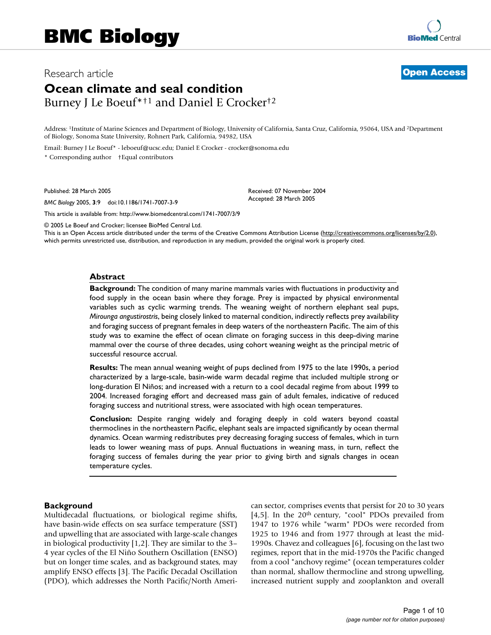# Research article **[Open Access](http://www.biomedcentral.com/info/about/charter/)**

# **Ocean climate and seal condition** Burney J Le Boeuf\*†1 and Daniel E Crocker†2

Address: 1Institute of Marine Sciences and Department of Biology, University of California, Santa Cruz, California, 95064, USA and 2Department of Biology, Sonoma State University, Rohnert Park, California, 94982, USA

> Received: 07 November 2004 Accepted: 28 March 2005

Email: Burney J Le Boeuf\* - leboeuf@ucsc.edu; Daniel E Crocker - crocker@sonoma.edu

\* Corresponding author †Equal contributors

Published: 28 March 2005

*BMC Biology* 2005, **3**:9 doi:10.1186/1741-7007-3-9

[This article is available from: http://www.biomedcentral.com/1741-7007/3/9](http://www.biomedcentral.com/1741-7007/3/9)

© 2005 Le Boeuf and Crocker; licensee BioMed Central Ltd.

This is an Open Access article distributed under the terms of the Creative Commons Attribution License [\(http://creativecommons.org/licenses/by/2.0\)](http://creativecommons.org/licenses/by/2.0), which permits unrestricted use, distribution, and reproduction in any medium, provided the original work is properly cited.

### **Abstract**

**Background:** The condition of many marine mammals varies with fluctuations in productivity and food supply in the ocean basin where they forage. Prey is impacted by physical environmental variables such as cyclic warming trends. The weaning weight of northern elephant seal pups, *Mirounga angustirostris*, being closely linked to maternal condition, indirectly reflects prey availability and foraging success of pregnant females in deep waters of the northeastern Pacific. The aim of this study was to examine the effect of ocean climate on foraging success in this deep-diving marine mammal over the course of three decades, using cohort weaning weight as the principal metric of successful resource accrual.

**Results:** The mean annual weaning weight of pups declined from 1975 to the late 1990s, a period characterized by a large-scale, basin-wide warm decadal regime that included multiple strong or long-duration El Niños; and increased with a return to a cool decadal regime from about 1999 to 2004. Increased foraging effort and decreased mass gain of adult females, indicative of reduced foraging success and nutritional stress, were associated with high ocean temperatures.

**Conclusion:** Despite ranging widely and foraging deeply in cold waters beyond coastal thermoclines in the northeastern Pacific, elephant seals are impacted significantly by ocean thermal dynamics. Ocean warming redistributes prey decreasing foraging success of females, which in turn leads to lower weaning mass of pups. Annual fluctuations in weaning mass, in turn, reflect the foraging success of females during the year prior to giving birth and signals changes in ocean temperature cycles.

# **Background**

Multidecadal fluctuations, or biological regime shifts, have basin-wide effects on sea surface temperature (SST) and upwelling that are associated with large-scale changes in biological productivity [1,2]. They are similar to the 3– 4 year cycles of the El Niño Southern Oscillation (ENSO) but on longer time scales, and as background states, may amplify ENSO effects [3]. The Pacific Decadal Oscillation (PDO), which addresses the North Pacific/North American sector, comprises events that persist for 20 to 30 years [4,5]. In the 20<sup>th</sup> century, "cool" PDOs prevailed from 1947 to 1976 while "warm" PDOs were recorded from 1925 to 1946 and from 1977 through at least the mid-1990s. Chavez and colleagues [6], focusing on the last two regimes, report that in the mid-1970s the Pacific changed from a cool "anchovy regime" (ocean temperatures colder than normal, shallow thermocline and strong upwelling, increased nutrient supply and zooplankton and overall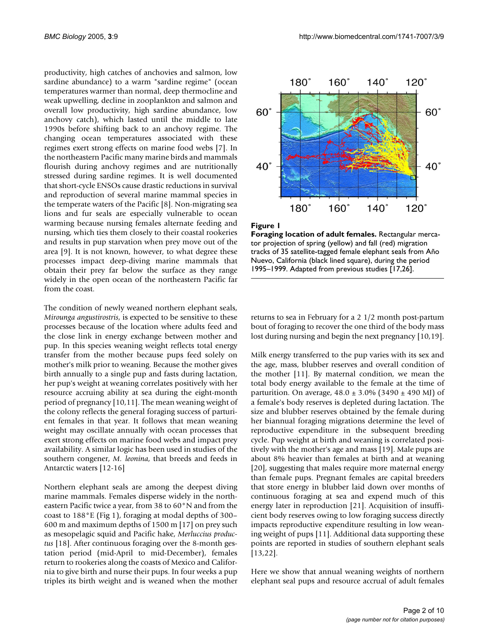productivity, high catches of anchovies and salmon, low sardine abundance) to a warm "sardine regime" (ocean temperatures warmer than normal, deep thermocline and weak upwelling, decline in zooplankton and salmon and overall low productivity, high sardine abundance, low anchovy catch), which lasted until the middle to late 1990s before shifting back to an anchovy regime. The changing ocean temperatures associated with these regimes exert strong effects on marine food webs [7]. In the northeastern Pacific many marine birds and mammals flourish during anchovy regimes and are nutritionally stressed during sardine regimes. It is well documented that short-cycle ENSOs cause drastic reductions in survival and reproduction of several marine mammal species in the temperate waters of the Pacific [8]. Non-migrating sea lions and fur seals are especially vulnerable to ocean warming because nursing females alternate feeding and nursing, which ties them closely to their coastal rookeries and results in pup starvation when prey move out of the area [9]. It is not known, however, to what degree these processes impact deep-diving marine mammals that obtain their prey far below the surface as they range widely in the open ocean of the northeastern Pacific far from the coast.

The condition of newly weaned northern elephant seals, *Mirounga angustirostris*, is expected to be sensitive to these processes because of the location where adults feed and the close link in energy exchange between mother and pup. In this species weaning weight reflects total energy transfer from the mother because pups feed solely on mother's milk prior to weaning. Because the mother gives birth annually to a single pup and fasts during lactation, her pup's weight at weaning correlates positively with her resource accruing ability at sea during the eight-month period of pregnancy [10,11]. The mean weaning weight of the colony reflects the general foraging success of parturient females in that year. It follows that mean weaning weight may oscillate annually with ocean processes that exert strong effects on marine food webs and impact prey availability. A similar logic has been used in studies of the southern congener, *M. leonina*, that breeds and feeds in Antarctic waters [12-16]

Northern elephant seals are among the deepest diving marine mammals. Females disperse widely in the northeastern Pacific twice a year, from 38 to 60°N and from the coast to 188°E (Fig 1), foraging at modal depths of 300– 600 m and maximum depths of 1500 m [17] on prey such as mesopelagic squid and Pacific hake, *Merluccius productus* [18]. After continuous foraging over the 8-month gestation period (mid-April to mid-December), females return to rookeries along the coasts of Mexico and California to give birth and nurse their pups. In four weeks a pup triples its birth weight and is weaned when the mother



## **Figure 1**

**Foraging location of adult females.** Rectangular mercator projection of spring (yellow) and fall (red) migration tracks of 35 satellite-tagged female elephant seals from Año Nuevo, California (black lined square), during the period 1995–1999. Adapted from previous studies [17,26].

returns to sea in February for a 2 1/2 month post-partum bout of foraging to recover the one third of the body mass lost during nursing and begin the next pregnancy [10,19].

Milk energy transferred to the pup varies with its sex and the age, mass, blubber reserves and overall condition of the mother [11]. By maternal condition, we mean the total body energy available to the female at the time of parturition. On average,  $48.0 \pm 3.0\%$  (3490  $\pm$  490 MJ) of a female's body reserves is depleted during lactation. The size and blubber reserves obtained by the female during her biannual foraging migrations determine the level of reproductive expenditure in the subsequent breeding cycle. Pup weight at birth and weaning is correlated positively with the mother's age and mass [19]. Male pups are about 8% heavier than females at birth and at weaning [20], suggesting that males require more maternal energy than female pups. Pregnant females are capital breeders that store energy in blubber laid down over months of continuous foraging at sea and expend much of this energy later in reproduction [21]. Acquisition of insufficient body reserves owing to low foraging success directly impacts reproductive expenditure resulting in low weaning weight of pups [11]. Additional data supporting these points are reported in studies of southern elephant seals [13,22].

Here we show that annual weaning weights of northern elephant seal pups and resource accrual of adult females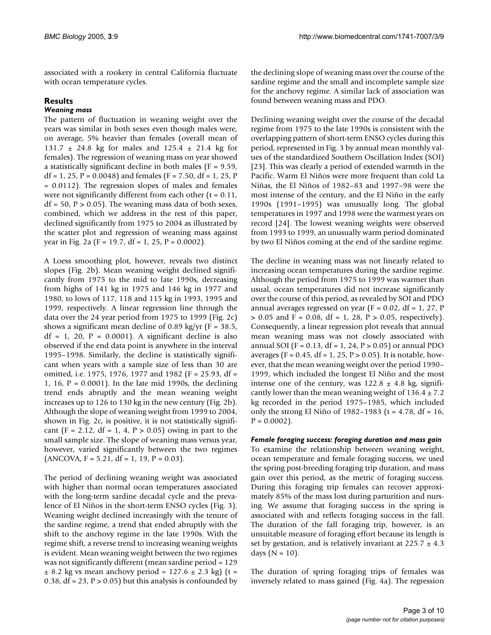associated with a rookery in central California fluctuate with ocean temperature cycles.

# **Results**

# *Weaning mass*

The pattern of fluctuation in weaning weight over the years was similar in both sexes even though males were, on average, 5% heavier than females (overall mean of 131.7  $\pm$  24.8 kg for males and 125.4  $\pm$  21.4 kg for females). The regression of weaning mass on year showed a statistically significant decline in both males ( $F = 9.59$ , df = 1, 25, P = 0.0048) and females (F = 7.50, df = 1, 25, P = 0.0112). The regression slopes of males and females were not significantly different from each other  $(t = 0.11)$ ,  $df = 50$ ,  $P > 0.05$ ). The weaning mass data of both sexes, combined, which we address in the rest of this paper, declined significantly from 1975 to 2004 as illustrated by the scatter plot and regression of weaning mass against year in Fig. [2](#page-3-0)a (F = 19.7, df = 1, 25, P = 0.0002).

A Loess smoothing plot, however, reveals two distinct slopes (Fig. [2](#page-3-0)b). Mean weaning weight declined significantly from 1975 to the mid to late 1990s, decreasing from highs of 141 kg in 1975 and 146 kg in 1977 and 1980, to lows of 117, 118 and 115 kg in 1993, 1995 and 1999, respectively. A linear regression line through the data over the 24 year period from 1975 to 1999 (Fig. [2](#page-3-0)c) shows a significant mean decline of 0.89 kg/yr ( $F = 38.5$ ,  $df = 1$ , 20, P = 0.0001). A significant decline is also observed if the end data point is anywhere in the interval 1995–1998. Similarly, the decline is statistically significant when years with a sample size of less than 30 are omitted, i.e. 1975, 1976, 1977 and 1982 (F = 25.93, df = 1, 16, P = 0.0001). In the late mid 1990s, the declining trend ends abruptly and the mean weaning weight increases up to 126 to 130 kg in the new century (Fig. [2](#page-3-0)b). Although the slope of weaning weight from 1999 to 2004, shown in Fig. [2](#page-3-0)c, is positive, it is not statistically significant (F = 2.12, df = 1, 4, P > 0.05) owing in part to the small sample size. The slope of weaning mass versus year, however, varied significantly between the two regimes  $(ANCOVA, F = 5.21, df = 1, 19, P = 0.03).$ 

The period of declining weaning weight was associated with higher than normal ocean temperatures associated with the long-term sardine decadal cycle and the prevalence of El Niños in the short-term ENSO cycles (Fig. 3). Weaning weight declined increasingly with the tenure of the sardine regime, a trend that ended abruptly with the shift to the anchovy regime in the late 1990s. With the regime shift, a reverse trend to increasing weaning weights is evident. Mean weaning weight between the two regimes was not significantly different (mean sardine period = 129  $\pm$  8.2 kg vs mean anchovy period = 127.6  $\pm$  2.3 kg) (t = 0.38,  $df = 23$ ,  $P > 0.05$ ) but this analysis is confounded by the declining slope of weaning mass over the course of the sardine regime and the small and incomplete sample size for the anchovy regime. A similar lack of association was found between weaning mass and PDO.

Declining weaning weight over the course of the decadal regime from 1975 to the late 1990s is consistent with the overlapping pattern of short-term ENSO cycles during this period, represented in Fig. 3 by annual mean monthly values of the standardized Southern Oscillation Index (SOI) [23]. This was clearly a period of extended warmth in the Pacific. Warm El Niños were more frequent than cold La Niñas, the El Niños of 1982–83 and 1997–98 were the most intense of the century, and the El Niño in the early 1990s (1991–1995) was unusually long. The global temperatures in 1997 and 1998 were the warmest years on record [24]. The lowest weaning weights were observed from 1993 to 1999, an unusually warm period dominated by two El Niños coming at the end of the sardine regime.

The decline in weaning mass was not linearly related to increasing ocean temperatures during the sardine regime. Although the period from 1975 to 1999 was warmer than usual, ocean temperatures did not increase significantly over the course of this period, as revealed by SOI and PDO annual averages regressed on year ( $F = 0.02$ , df = 1, 27, P  $> 0.05$  and F = 0.08, df = 1, 28, P  $> 0.05$ , respectively). Consequently, a linear regression plot reveals that annual mean weaning mass was not closely associated with annual SOI (F =  $0.13$ , df = 1, 24, P >  $0.05$ ) or annual PDO averages (F =  $0.45$ , df = 1, 25, P > 0.05). It is notable, however, that the mean weaning weight over the period 1990– 1999, which included the longest El Niño and the most intense one of the century, was  $122.8 \pm 4.8$  kg, significantly lower than the mean weaning weight of  $136.4 \pm 7.2$ kg recorded in the period 1975–1985, which included only the strong El Niño of 1982–1983 (t = 4.78, df = 16,  $P = 0.0002$ ).

*Female foraging success: foraging duration and mass gain*

To examine the relationship between weaning weight, ocean temperature and female foraging success, we used the spring post-breeding foraging trip duration, and mass gain over this period, as the metric of foraging success. During this foraging trip females can recover approximately 85% of the mass lost during parturition and nursing. We assume that foraging success in the spring is associated with and reflects foraging success in the fall. The duration of the fall foraging trip, however, is an unsuitable measure of foraging effort because its length is set by gestation, and is relatively invariant at  $225.7 \pm 4.3$ days ( $N = 10$ ).

The duration of spring foraging trips of females was inversely related to mass gained (Fig. [4a](#page-5-0)). The regression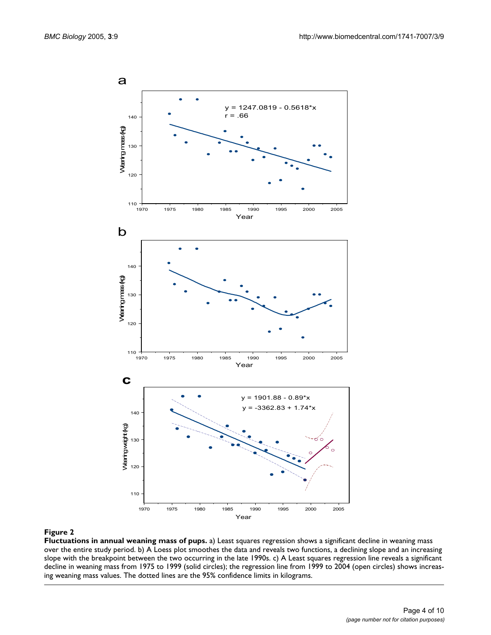<span id="page-3-0"></span>

### Figure 2

**Fluctuations in annual weaning mass of pups.** a) Least squares regression shows a significant decline in weaning mass over the entire study period. b) A Loess plot smoothes the data and reveals two functions, a declining slope and an increasing slope with the breakpoint between the two occurring in the late 1990s. c) A Least squares regression line reveals a significant decline in weaning mass from 1975 to 1999 (solid circles); the regression line from 1999 to 2004 (open circles) shows increasing weaning mass values. The dotted lines are the 95% confidence limits in kilograms.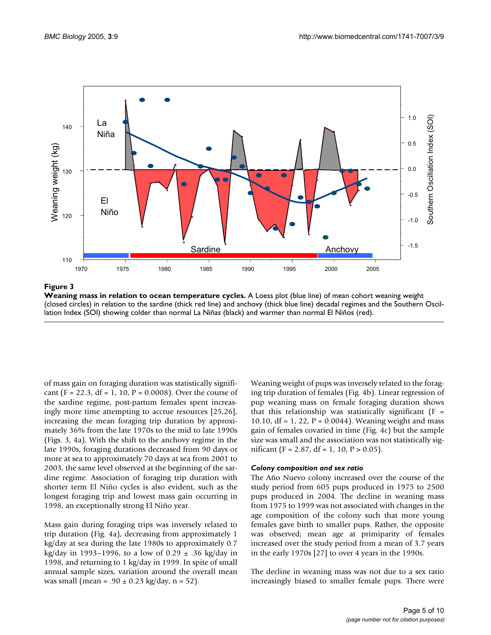

# **Figure 3**

**Weaning mass in relation to ocean temperature cycles.** A Loess plot (blue line) of mean cohort weaning weight (closed circles) in relation to the sardine (thick red line) and anchovy (thick blue line) decadal regimes and the Southern Oscillation Index (SOI) showing colder than normal La Niñas (black) and warmer than normal El Niños (red).

of mass gain on foraging duration was statistically significant (F = 22.3, df = 1, 10, P = 0.0008). Over the course of the sardine regime, post-partum females spent increasingly more time attempting to accrue resources [25,26], increasing the mean foraging trip duration by approximately 36% from the late 1970s to the mid to late 1990s (Figs. 3, [4](#page-5-0)a). With the shift to the anchovy regime in the late 1990s, foraging durations decreased from 90 days or more at sea to approximately 70 days at sea from 2001 to 2003, the same level observed at the beginning of the sardine regime. Association of foraging trip duration with shorter term El Niño cycles is also evident, such as the longest foraging trip and lowest mass gain occurring in 1998, an exceptionally strong El Niño year.

Mass gain during foraging trips was inversely related to trip duration (Fig. [4a](#page-5-0)), decreasing from approximately 1 kg/day at sea during the late 1980s to approximately 0.7 kg/day in 1993–1996, to a low of  $0.29 \pm .36$  kg/day in 1998, and returning to 1 kg/day in 1999. In spite of small annual sample sizes, variation around the overall mean was small (mean = .90  $\pm$  0.23 kg/day, n = 52).

Weaning weight of pups was inversely related to the foraging trip duration of females (Fig. [4](#page-5-0)b). Linear regression of pup weaning mass on female foraging duration shows that this relationship was statistically significant ( $F =$ 10.10, df = 1, 22,  $P = 0.0044$ ). Weaning weight and mass gain of females covaried in time (Fig. [4c](#page-5-0)) but the sample size was small and the association was not statistically significant (F = 2.87, df = 1, 10, P > 0.05).

### *Colony composition and sex ratio*

The Año Nuevo colony increased over the course of the study period from 605 pups produced in 1975 to 2500 pups produced in 2004. The decline in weaning mass from 1975 to 1999 was not associated with changes in the age composition of the colony such that more young females gave birth to smaller pups. Rather, the opposite was observed; mean age at primiparity of females increased over the study period from a mean of 3.7 years in the early 1970s [27] to over 4 years in the 1990s.

The decline in weaning mass was not due to a sex ratio increasingly biased to smaller female pups. There were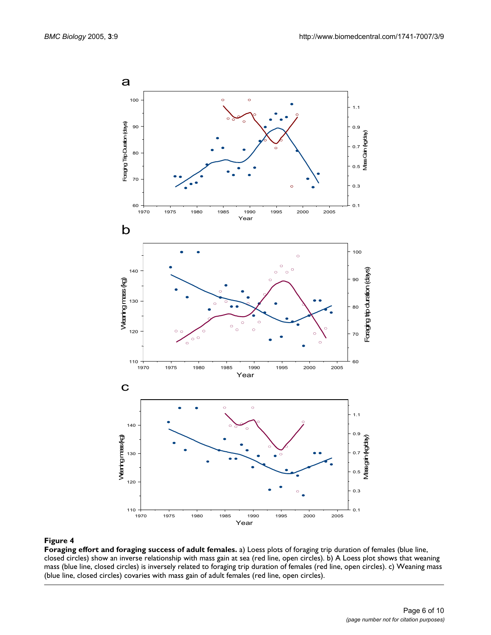<span id="page-5-0"></span>

#### Figure 4

**Foraging effort and foraging success of adult females.** a) Loess plots of foraging trip duration of females (blue line, closed circles) show an inverse relationship with mass gain at sea (red line, open circles). b) A Loess plot shows that weaning mass (blue line, closed circles) is inversely related to foraging trip duration of females (red line, open circles). c) Weaning mass (blue line, closed circles) covaries with mass gain of adult females (red line, open circles).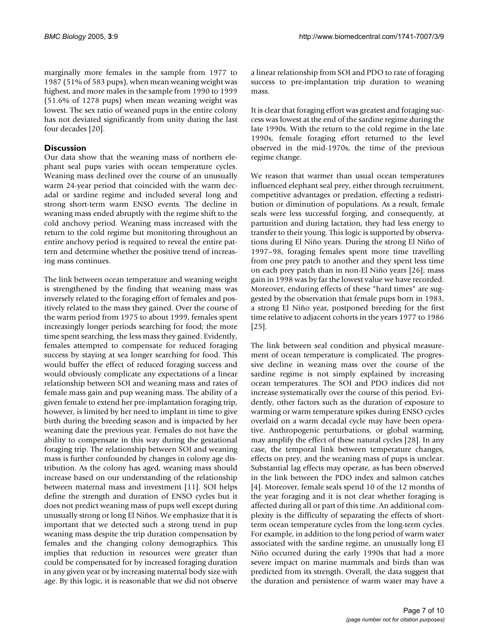marginally more females in the sample from 1977 to 1987 (51% of 583 pups), when mean weaning weight was highest, and more males in the sample from 1990 to 1999 (51.6% of 1278 pups) when mean weaning weight was lowest. The sex ratio of weaned pups in the entire colony has not deviated significantly from unity during the last four decades [20].

# **Discussion**

Our data show that the weaning mass of northern elephant seal pups varies with ocean temperature cycles. Weaning mass declined over the course of an unusually warm 24-year period that coincided with the warm decadal or sardine regime and included several long and strong short-term warm ENSO events. The decline in weaning mass ended abruptly with the regime shift to the cold anchovy period. Weaning mass increased with the return to the cold regime but monitoring throughout an entire anchovy period is required to reveal the entire pattern and determine whether the positive trend of increasing mass continues.

The link between ocean temperature and weaning weight is strengthened by the finding that weaning mass was inversely related to the foraging effort of females and positively related to the mass they gained. Over the course of the warm period from 1975 to about 1999, females spent increasingly longer periods searching for food; the more time spent searching, the less mass they gained. Evidently, females attempted to compensate for reduced foraging success by staying at sea longer searching for food. This would buffer the effect of reduced foraging success and would obviously complicate any expectations of a linear relationship between SOI and weaning mass and rates of female mass gain and pup weaning mass. The ability of a given female to extend her pre-implantation foraging trip, however, is limited by her need to implant in time to give birth during the breeding season and is impacted by her weaning date the previous year. Females do not have the ability to compensate in this way during the gestational foraging trip. The relationship between SOI and weaning mass is further confounded by changes in colony age distribution. As the colony has aged, weaning mass should increase based on our understanding of the relationship between maternal mass and investment [11]. SOI helps define the strength and duration of ENSO cycles but it does not predict weaning mass of pups well except during unusually strong or long El Niños. We emphasize that it is important that we detected such a strong trend in pup weaning mass despite the trip duration compensation by females and the changing colony demographics. This implies that reduction in resources were greater than could be compensated for by increased foraging duration in any given year or by increasing maternal body size with age. By this logic, it is reasonable that we did not observe a linear relationship from SOI and PDO to rate of foraging success to pre-implantation trip duration to weaning mass.

It is clear that foraging effort was greatest and foraging success was lowest at the end of the sardine regime during the late 1990s. With the return to the cold regime in the late 1990s, female foraging effort returned to the level observed in the mid-1970s, the time of the previous regime change.

We reason that warmer than usual ocean temperatures influenced elephant seal prey, either through recruitment, competitive advantages or predation, effecting a redistribution or diminution of populations. As a result, female seals were less successful forging, and consequently, at parturition and during lactation, they had less energy to transfer to their young. This logic is supported by observations during El Niño years. During the strong El Niño of 1997–98, foraging females spent more time travelling from one prey patch to another and they spent less time on each prey patch than in non-El Niño years [26]; mass gain in 1998 was by far the lowest value we have recorded. Moreover, enduring effects of these "hard times" are suggested by the observation that female pups born in 1983, a strong El Niño year, postponed breeding for the first time relative to adjacent cohorts in the years 1977 to 1986 [25].

The link between seal condition and physical measurement of ocean temperature is complicated. The progressive decline in weaning mass over the course of the sardine regime is not simply explained by increasing ocean temperatures. The SOI and PDO indices did not increase systematically over the course of this period. Evidently, other factors such as the duration of exposure to warming or warm temperature spikes during ENSO cycles overlaid on a warm decadal cycle may have been operative. Anthropogenic perturbations, or global warming, may amplify the effect of these natural cycles [28]. In any case, the temporal link between temperature changes, effects on prey, and the weaning mass of pups is unclear. Substantial lag effects may operate, as has been observed in the link between the PDO index and salmon catches [4]. Moreover, female seals spend 10 of the 12 months of the year foraging and it is not clear whether foraging is affected during all or part of this time. An additional complexity is the difficulty of separating the effects of shortterm ocean temperature cycles from the long-term cycles. For example, in addition to the long period of warm water associated with the sardine regime, an unusually long El Niño occurred during the early 1990s that had a more severe impact on marine mammals and birds than was predicted from its strength. Overall, the data suggest that the duration and persistence of warm water may have a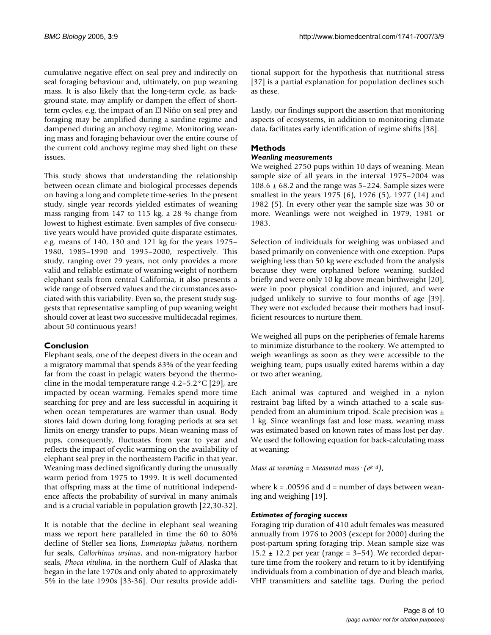cumulative negative effect on seal prey and indirectly on seal foraging behaviour and, ultimately, on pup weaning mass. It is also likely that the long-term cycle, as background state, may amplify or dampen the effect of shortterm cycles, e.g. the impact of an El Niño on seal prey and foraging may be amplified during a sardine regime and dampened during an anchovy regime. Monitoring weaning mass and foraging behaviour over the entire course of the current cold anchovy regime may shed light on these issues.

This study shows that understanding the relationship between ocean climate and biological processes depends on having a long and complete time-series. In the present study, single year records yielded estimates of weaning mass ranging from 147 to 115 kg, a 28 % change from lowest to highest estimate. Even samples of five consecutive years would have provided quite disparate estimates, e.g. means of 140, 130 and 121 kg for the years 1975– 1980, 1985–1990 and 1995–2000, respectively. This study, ranging over 29 years, not only provides a more valid and reliable estimate of weaning weight of northern elephant seals from central California, it also presents a wide range of observed values and the circumstances associated with this variability. Even so, the present study suggests that representative sampling of pup weaning weight should cover at least two successive multidecadal regimes, about 50 continuous years!

# **Conclusion**

Elephant seals, one of the deepest divers in the ocean and a migratory mammal that spends 83% of the year feeding far from the coast in pelagic waters beyond the thermocline in the modal temperature range  $4.2-5.2^{\circ}$ C [29], are impacted by ocean warming. Females spend more time searching for prey and are less successful in acquiring it when ocean temperatures are warmer than usual. Body stores laid down during long foraging periods at sea set limits on energy transfer to pups. Mean weaning mass of pups, consequently, fluctuates from year to year and reflects the impact of cyclic warming on the availability of elephant seal prey in the northeastern Pacific in that year. Weaning mass declined significantly during the unusually warm period from 1975 to 1999. It is well documented that offspring mass at the time of nutritional independence affects the probability of survival in many animals and is a crucial variable in population growth [22,30-32].

It is notable that the decline in elephant seal weaning mass we report here paralleled in time the 60 to 80% decline of Steller sea lions, *Eumetopias jubatus*, northern fur seals, *Callorhinus ursinus*, and non-migratory harbor seals, *Phoca vitulina*, in the northern Gulf of Alaska that began in the late 1970s and only abated to approximately 5% in the late 1990s [33-36]. Our results provide additional support for the hypothesis that nutritional stress [37] is a partial explanation for population declines such as these.

Lastly, our findings support the assertion that monitoring aspects of ecosystems, in addition to monitoring climate data, facilitates early identification of regime shifts [38].

# **Methods**

# *Weanling measurements*

We weighed 2750 pups within 10 days of weaning. Mean sample size of all years in the interval 1975–2004 was 108.6  $\pm$  68.2 and the range was 5–224. Sample sizes were smallest in the years 1975 (6), 1976 (5), 1977 (14) and 1982 (5). In every other year the sample size was 30 or more. Weanlings were not weighed in 1979, 1981 or 1983.

Selection of individuals for weighing was unbiased and based primarily on convenience with one exception. Pups weighing less than 50 kg were excluded from the analysis because they were orphaned before weaning, suckled briefly and were only 10 kg above mean birthweight [20], were in poor physical condition and injured, and were judged unlikely to survive to four months of age [39]. They were not excluded because their mothers had insufficient resources to nurture them.

We weighed all pups on the peripheries of female harems to minimize disturbance to the rookery. We attempted to weigh weanlings as soon as they were accessible to the weighing team; pups usually exited harems within a day or two after weaning.

Each animal was captured and weighed in a nylon restraint bag lifted by a winch attached to a scale suspended from an aluminium tripod. Scale precision was ± 1 kg. Since weanlings fast and lose mass, weaning mass was estimated based on known rates of mass lost per day. We used the following equation for back-calculating mass at weaning:

*Mass at weaning = Measured mass·(ek·d)*,

where  $k = 0.00596$  and  $d =$  number of days between weaning and weighing [19].

# *Estimates of foraging success*

Foraging trip duration of 410 adult females was measured annually from 1976 to 2003 (except for 2000) during the post-partum spring foraging trip. Mean sample size was  $15.2 \pm 12.2$  per year (range = 3-54). We recorded departure time from the rookery and return to it by identifying individuals from a combination of dye and bleach marks, VHF transmitters and satellite tags. During the period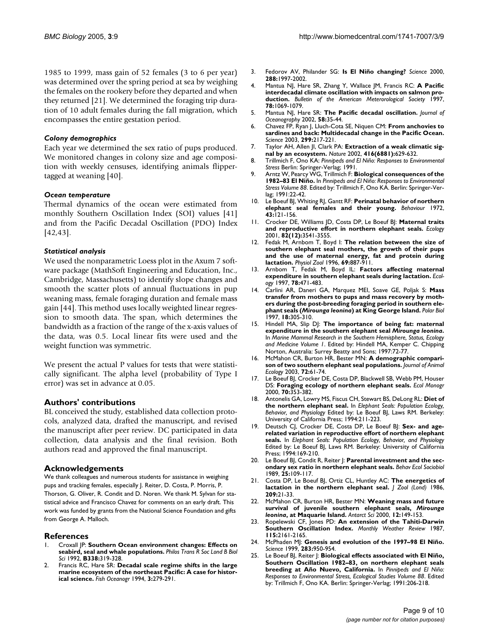1985 to 1999, mass gain of 52 females (3 to 6 per year) was determined over the spring period at sea by weighing the females on the rookery before they departed and when they returned [21]. We determined the foraging trip duration of 10 adult females during the fall migration, which encompasses the entire gestation period.

### *Colony demographics*

Each year we determined the sex ratio of pups produced. We monitored changes in colony size and age composition with weekly censuses, identifying animals flippertagged at weaning [40].

#### *Ocean temperature*

Thermal dynamics of the ocean were estimated from monthly Southern Oscillation Index (SOI) values [41] and from the Pacific Decadal Oscillation (PDO) Index [42,43].

### *Statistical analysis*

We used the nonparametric Loess plot in the Axum 7 software package (MathSoft Engineering and Education, Inc., Cambridge, Massachusetts) to identify slope changes and smooth the scatter plots of annual fluctuations in pup weaning mass, female foraging duration and female mass gain [44]. This method uses locally weighted linear regression to smooth data. The span, which determines the bandwidth as a fraction of the range of the x-axis values of the data, was 0.5. Local linear fits were used and the weight function was symmetric.

We present the actual P values for tests that were statistically significant. The alpha level (probability of Type I error) was set in advance at 0.05.

### **Authors' contributions**

BL conceived the study, established data collection protocols, analyzed data, drafted the manuscript, and revised the manuscript after peer review. DC participated in data collection, data analysis and the final revision. Both authors read and approved the final manuscript.

### **Acknowledgements**

We thank colleagues and numerous students for assistance in weighing pups and tracking females, especially J. Reiter, D. Costa, P. Morris, P. Thorson, G. Oliver, R. Condit and D. Noren. We thank M. Sylvan for statistical advice and Francisco Chavez for comments on an early draft. This work was funded by grants from the National Science Foundation and gifts from George A. Malloch.

### **References**

- 1. Croxall JP: **Southern Ocean environment changes: Effects on seabird, seal and whale populations.** *Philos Trans R Soc Lond B Biol Sci* 1992, **B338:**319-328.
- 2. Francis RC, Hare SR: **Decadal scale regime shifts in the large marine ecosystem of the northeast Pacific: A case for historical science.** *Fish Oceanogr* 1994, **3:**279-291.
- 3. Fedorov AV, Philander SG: **[Is El Niño changing?](http://www.ncbi.nlm.nih.gov/entrez/query.fcgi?cmd=Retrieve&db=PubMed&dopt=Abstract&list_uids=10856205)** *Science* 2000, **288:**1997-2002.
- 4. Mantua NJ, Hare SR, Zhang Y, Wallace JM, Francis RC: **A Pacific interdecadal climate oscillation with impacts on salmon production.** *Bulletin of the American Meterorological Society* 1997, **78:**1069-1079.
- 5. Mantua NJ, Hare SR: **The Pacific decadal oscillation.** *Journal of Oceanography* 2002, **58:**35-44.
- 6. Chavez FP, Ryan J, Lluch-Cota SE, Niquen CM: **[From anchovies to](http://www.ncbi.nlm.nih.gov/entrez/query.fcgi?cmd=Retrieve&db=PubMed&dopt=Abstract&list_uids=12522241) [sardines and back: Multidecadal change in the Pacific Ocean.](http://www.ncbi.nlm.nih.gov/entrez/query.fcgi?cmd=Retrieve&db=PubMed&dopt=Abstract&list_uids=12522241)** *Science* 2003, **299:**217-221.
- 7. Taylor AH, Allen JI, Clark PA: **[Extraction of a weak climatic sig](http://www.ncbi.nlm.nih.gov/entrez/query.fcgi?cmd=Retrieve&db=PubMed&dopt=Abstract&list_uids=11948350)[nal by an ecosystem.](http://www.ncbi.nlm.nih.gov/entrez/query.fcgi?cmd=Retrieve&db=PubMed&dopt=Abstract&list_uids=11948350)** *Nature* 2002, **416(6881):**629-632.
- 8. Trillmich F, Ono KA: *Pinnipeds and El Niño: Responses to Environmental Stress* Berlin: Springer-Verlag; 1991.
- 9. Arntz W, Pearcy WG, Trillmich F: **Biological consequences of the 1982–83 El Niño.** In *Pinnipeds and El Niño: Responses to Environmental Stress Volume 88*. Edited by: Trillmich F, Ono KA. Berlin: Springer-Verlag; 1991:22-42.
- 10. Le Boeuf BJ, Whiting RJ, Gantt RF: **[Perinatal behavior of northern](http://www.ncbi.nlm.nih.gov/entrez/query.fcgi?cmd=Retrieve&db=PubMed&dopt=Abstract&list_uids=4656181) [elephant seal females and their young.](http://www.ncbi.nlm.nih.gov/entrez/query.fcgi?cmd=Retrieve&db=PubMed&dopt=Abstract&list_uids=4656181)** *Behaviour* 1972, **43:**121-156.
- 11. Crocker DE, Williams JD, Costa DP, Le Boeuf BJ: **Maternal traits and reproductive effort in northern elephant seals.** *Ecology* 2001, **82(12):**3541-3555.
- 12. Fedak M, Arnbom T, Boyd I: **The relation between the size of southern elephant seal mothers, the growth of their pups and the use of maternal energy, fat and protein during lactation.** *Physiol Zool* 1996, **69:**887-911.
- 13. Arnbom T, Fedak M, Boyd IL: **Factors affecting maternal expenditure in southern elephant seals during lactation.** *Ecology* 1997, **78:**471-483.
- 14. Carlini AR, Daneri GA, Marquez MEI, Soave GE, Poljak S: **Mass transfer from mothers to pups and mass recovery by mothers during the post-breeding foraging period in southern elephant seals (***Mirounga leonina***) at King George Island.** *Polar Biol* 1997, **18:**305-310.
- 15. Hindell MA, Slip DJ: **The importance of being fat: maternal expenditure in the southern elephant seal** *Mirounga leonina***.** In *Marine Mammal Research in the Southern Hemisphere, Status, Ecology and Medicine Volume 1*. Edited by: Hindell MA, Kemper C. Chipping Norton, Australia: Surrey Beatty and Sons; 1997:72-77.
- 16. McMahon CR, Burton HR, Bester MN: **A demographic comparison of two southern elephant seal populations.** *Journal of Animal Ecology* 2003, **72:**61-74.
- 17. Le Boeuf BJ, Crocker DE, Costa DP, Blackwell SB, Webb PM, Houser DS: **Foraging ecology of northern elephant seals.** *Ecol Monogr* 2000, **70:**353-382.
- 18. Antonelis GA, Lowry MS, Fiscus CH, Stewart BS, DeLong RL: **Diet of the northern elephant seal.** In *Elephant Seals: Population Ecology, Behavior, and Physiology* Edited by: Le Boeuf BJ, Laws RM. Berkeley: University of California Press; 1994:211-223.
- 19. Deutsch CJ, Crocker DE, Costa DP, Le Boeuf BJ: Sex- and age**related variation in reproductive effort of northern elephant seals.** In *Elephant Seals: Population Ecology, Behavior, and Physiology* Edited by: Le Boeuf BJ, Laws RM. Berkeley: University of California Press; 1994:169-210.
- 20. Le Boeuf BJ, Condit R, Reiter J: **Parental investment and the secondary sex ratio in northern elephant seals.** *Behav Ecol Sociobiol* 1989, **25:**109-117.
- 21. Costa DP, Le Boeuf BJ, Ortiz CL, Huntley AC: **The energetics of lactation in the northern elephant seal.** *J Zool (Lond)* 1986, **209:**21-33.
- 22. McMahon CR, Burton HR, Bester MN: **Weaning mass and future survival of juvenile southern elephant seals,** *Mirounga leonina***, at Maquarie Island.** *Antarct Sci* 2000, **12:**149-153.
- 23. Ropelewski CF, Jones PD: **An extension of the Tahiti-Darwin Southern Oscillation Index.** *Monthly Weather Review* 1987, **115:**2161-2165.
- 24. McPhaden MJ: **[Genesis and evolution of the 1997–98 El Niño.](http://www.ncbi.nlm.nih.gov/entrez/query.fcgi?cmd=Retrieve&db=PubMed&dopt=Abstract&list_uids=9974381)** *Science* 1999, **283:**950-954.
- 25. Le Boeuf BJ, Reiter J: **Biological effects associated with El Niño, Southern Oscillation 1982–83, on northern elephant seals breeding at Año Nuevo, California.** In *Pinnipeds and El Niño: Responses to Environmental Stress, Ecological Studies Volume 88*. Edited by: Trillmich F, Ono KA. Berlin: Springer-Verlag; 1991:206-218.